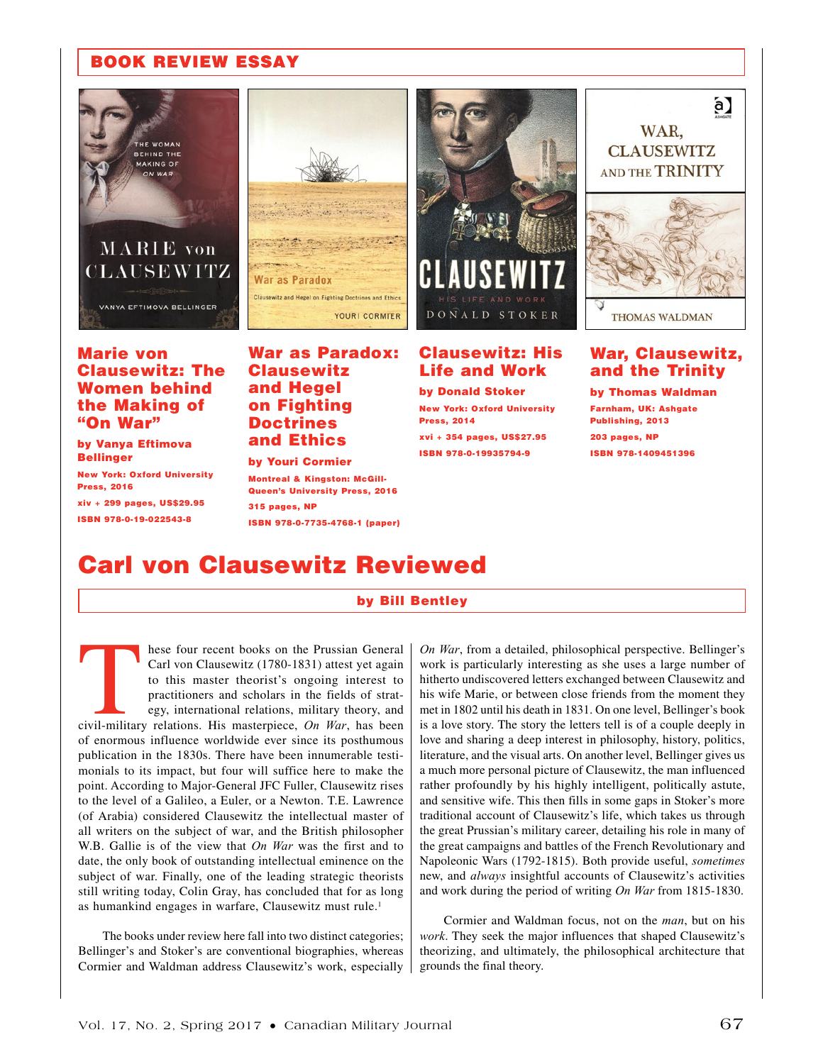## BOOK REVIEW ESSAY



VANYA EFTIMOVA BELLINGER

### Marie von Clausewitz: The Women behind the Making of "On War"

by Vanya Eftimova Bellinger

New York: Oxford University Press, 2016

xiv + 299 pages, US\$29.95 ISBN 978-0-19-022543-8



War as Paradox: **Clausewitz** and Hegel on Fighting Doctrines and Ethics

### by Youri Cormier

Montreal & Kingston: McGill-Queen's University Press, 2016 315 pages, NP

ISBN 978-0-7735-4768-1 (paper)



### Clausewitz: His Life and Work

by Donald Stoker New York: Oxford University Press, 2014 xvi + 354 pages, US\$27.95 ISBN 978-0-19935794-9



### War, Clausewitz, and the Trinity

by Thomas Waldman Farnham, UK: Ashgate Publishing, 2013 203 pages, NP ISBN 978-1409451396

# Carl von Clausewitz Reviewed

### by Bill Bentley

These four recent books on the Prussian General Carl von Clausewitz (1780-1831) attest yet again to this master theorist's ongoing interest to practitioners and scholars in the fields of strategy, international relations, Carl von Clausewitz (1780-1831) attest yet again to this master theorist's ongoing interest to practitioners and scholars in the fields of strategy, international relations, military theory, and of enormous influence worldwide ever since its posthumous publication in the 1830s. There have been innumerable testimonials to its impact, but four will suffice here to make the point. According to Major-General JFC Fuller, Clausewitz rises to the level of a Galileo, a Euler, or a Newton. T.E. Lawrence (of Arabia) considered Clausewitz the intellectual master of all writers on the subject of war, and the British philosopher W.B. Gallie is of the view that *On War* was the first and to date, the only book of outstanding intellectual eminence on the subject of war. Finally, one of the leading strategic theorists still writing today, Colin Gray, has concluded that for as long as humankind engages in warfare, Clausewitz must rule.<sup>1</sup>

The books under review here fall into two distinct categories; Bellinger's and Stoker's are conventional biographies, whereas Cormier and Waldman address Clausewitz's work, especially

*On War*, from a detailed, philosophical perspective. Bellinger's work is particularly interesting as she uses a large number of hitherto undiscovered letters exchanged between Clausewitz and his wife Marie, or between close friends from the moment they met in 1802 until his death in 1831. On one level, Bellinger's book is a love story. The story the letters tell is of a couple deeply in love and sharing a deep interest in philosophy, history, politics, literature, and the visual arts. On another level, Bellinger gives us a much more personal picture of Clausewitz, the man influenced rather profoundly by his highly intelligent, politically astute, and sensitive wife. This then fills in some gaps in Stoker's more traditional account of Clausewitz's life, which takes us through the great Prussian's military career, detailing his role in many of the great campaigns and battles of the French Revolutionary and Napoleonic Wars (1792-1815). Both provide useful, *sometimes* new, and *always* insightful accounts of Clausewitz's activities and work during the period of writing *On War* from 1815-1830.

Cormier and Waldman focus, not on the *man*, but on his *work*. They seek the major influences that shaped Clausewitz's theorizing, and ultimately, the philosophical architecture that grounds the final theory.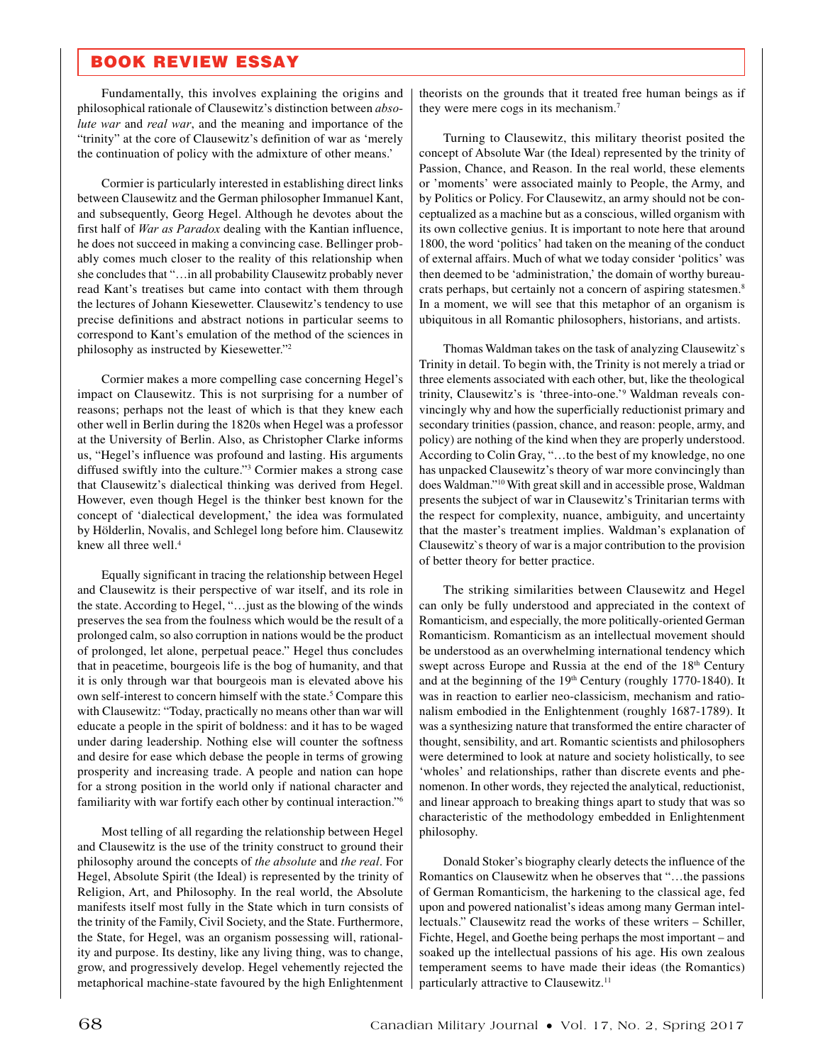## BOOK REVIEW ESSAY

Fundamentally, this involves explaining the origins and philosophical rationale of Clausewitz's distinction between *absolute war* and *real war*, and the meaning and importance of the "trinity" at the core of Clausewitz's definition of war as 'merely the continuation of policy with the admixture of other means.'

Cormier is particularly interested in establishing direct links between Clausewitz and the German philosopher Immanuel Kant, and subsequently, Georg Hegel. Although he devotes about the first half of *War as Paradox* dealing with the Kantian influence, he does not succeed in making a convincing case. Bellinger probably comes much closer to the reality of this relationship when she concludes that "…in all probability Clausewitz probably never read Kant's treatises but came into contact with them through the lectures of Johann Kiesewetter. Clausewitz's tendency to use precise definitions and abstract notions in particular seems to correspond to Kant's emulation of the method of the sciences in philosophy as instructed by Kiesewetter."2

Cormier makes a more compelling case concerning Hegel's impact on Clausewitz. This is not surprising for a number of reasons; perhaps not the least of which is that they knew each other well in Berlin during the 1820s when Hegel was a professor at the University of Berlin. Also, as Christopher Clarke informs us, "Hegel's influence was profound and lasting. His arguments diffused swiftly into the culture."3 Cormier makes a strong case that Clausewitz's dialectical thinking was derived from Hegel. However, even though Hegel is the thinker best known for the concept of 'dialectical development,' the idea was formulated by Hölderlin, Novalis, and Schlegel long before him. Clausewitz knew all three well.<sup>4</sup>

Equally significant in tracing the relationship between Hegel and Clausewitz is their perspective of war itself, and its role in the state. According to Hegel, "…just as the blowing of the winds preserves the sea from the foulness which would be the result of a prolonged calm, so also corruption in nations would be the product of prolonged, let alone, perpetual peace." Hegel thus concludes that in peacetime, bourgeois life is the bog of humanity, and that it is only through war that bourgeois man is elevated above his own self-interest to concern himself with the state.<sup>5</sup> Compare this with Clausewitz: "Today, practically no means other than war will educate a people in the spirit of boldness: and it has to be waged under daring leadership. Nothing else will counter the softness and desire for ease which debase the people in terms of growing prosperity and increasing trade. A people and nation can hope for a strong position in the world only if national character and familiarity with war fortify each other by continual interaction."6

Most telling of all regarding the relationship between Hegel and Clausewitz is the use of the trinity construct to ground their philosophy around the concepts of *the absolute* and *the real*. For Hegel, Absolute Spirit (the Ideal) is represented by the trinity of Religion, Art, and Philosophy. In the real world, the Absolute manifests itself most fully in the State which in turn consists of the trinity of the Family, Civil Society, and the State. Furthermore, the State, for Hegel, was an organism possessing will, rationality and purpose. Its destiny, like any living thing, was to change, grow, and progressively develop. Hegel vehemently rejected the metaphorical machine-state favoured by the high Enlightenment

theorists on the grounds that it treated free human beings as if they were mere cogs in its mechanism.7

Turning to Clausewitz, this military theorist posited the concept of Absolute War (the Ideal) represented by the trinity of Passion, Chance, and Reason. In the real world, these elements or 'moments' were associated mainly to People, the Army, and by Politics or Policy. For Clausewitz, an army should not be conceptualized as a machine but as a conscious, willed organism with its own collective genius. It is important to note here that around 1800, the word 'politics' had taken on the meaning of the conduct of external affairs. Much of what we today consider 'politics' was then deemed to be 'administration,' the domain of worthy bureaucrats perhaps, but certainly not a concern of aspiring statesmen.8 In a moment, we will see that this metaphor of an organism is ubiquitous in all Romantic philosophers, historians, and artists.

Thomas Waldman takes on the task of analyzing Clausewitz`s Trinity in detail. To begin with, the Trinity is not merely a triad or three elements associated with each other, but, like the theological trinity, Clausewitz's is 'three-into-one.'9 Waldman reveals convincingly why and how the superficially reductionist primary and secondary trinities (passion, chance, and reason: people, army, and policy) are nothing of the kind when they are properly understood. According to Colin Gray, "…to the best of my knowledge, no one has unpacked Clausewitz's theory of war more convincingly than does Waldman."10 With great skill and in accessible prose, Waldman presents the subject of war in Clausewitz's Trinitarian terms with the respect for complexity, nuance, ambiguity, and uncertainty that the master's treatment implies. Waldman's explanation of Clausewitz`s theory of war is a major contribution to the provision of better theory for better practice.

The striking similarities between Clausewitz and Hegel can only be fully understood and appreciated in the context of Romanticism, and especially, the more politically-oriented German Romanticism. Romanticism as an intellectual movement should be understood as an overwhelming international tendency which swept across Europe and Russia at the end of the 18<sup>th</sup> Century and at the beginning of the 19<sup>th</sup> Century (roughly 1770-1840). It was in reaction to earlier neo-classicism, mechanism and rationalism embodied in the Enlightenment (roughly 1687-1789). It was a synthesizing nature that transformed the entire character of thought, sensibility, and art. Romantic scientists and philosophers were determined to look at nature and society holistically, to see 'wholes' and relationships, rather than discrete events and phenomenon. In other words, they rejected the analytical, reductionist, and linear approach to breaking things apart to study that was so characteristic of the methodology embedded in Enlightenment philosophy.

Donald Stoker's biography clearly detects the influence of the Romantics on Clausewitz when he observes that "…the passions of German Romanticism, the harkening to the classical age, fed upon and powered nationalist's ideas among many German intellectuals." Clausewitz read the works of these writers – Schiller, Fichte, Hegel, and Goethe being perhaps the most important – and soaked up the intellectual passions of his age. His own zealous temperament seems to have made their ideas (the Romantics) particularly attractive to Clausewitz.<sup>11</sup>